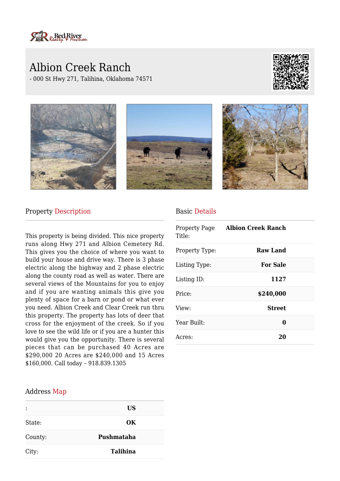

# Albion Creek Ranch

- 000 St Hwy 271, Talihina, Oklahoma 74571





### Property Description

This property is being divided. This nice property runs along Hwy 271 and Albion Cemetery Rd. This gives you the choice of where you want to build your house and drive way. There is 3 phase electric along the highway and 2 phase electric along the county road as well as water. There are several views of the Mountains for you to enjoy and if you are wanting animals this give you plenty of space for a barn or pond or what ever you need. Albion Creek and Clear Creek run thru this property. The property has lots of deer that cross for the enjoyment of the creek. So if you love to see the wild life or if you are a hunter this would give you the opportunity. There is several pieces that can be purchased 40 Acres are \$290,000 20 Acres are \$240,000 and 15 Acres \$160,000. Call today – 918.839.1305

### Basic Details

| Property Page<br>Title: | Albion Creek Ranch |  |
|-------------------------|--------------------|--|
| Property Type:          | Raw Land           |  |
| Listing Type:           | <b>For Sale</b>    |  |
| Listing ID:             | 1127               |  |
| Price:                  | \$240,000          |  |
| View:                   | <b>Street</b>      |  |
| Year Built:             | 0                  |  |
| Acres:                  | 20                 |  |

#### Address Map

|         | <b>US</b>       |
|---------|-----------------|
| State:  | OK              |
| County: | Pushmataha      |
| City:   | <b>Talihina</b> |